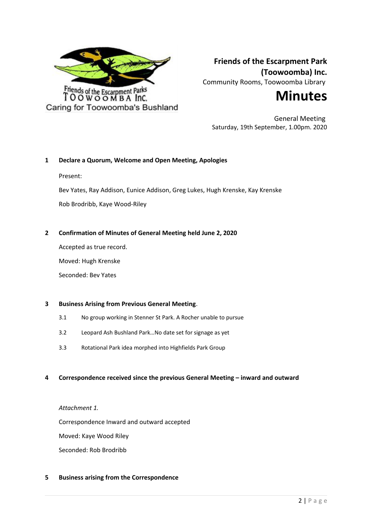

**Friends of the Escarpment Park (Toowoomba) Inc.** Community Rooms, Toowoomba Library



General Meeting Saturday, 19th September, 1.00pm. 2020

## **1 Declare a Quorum, Welcome and Open Meeting, Apologies**

Present:

Bev Yates, Ray Addison, Eunice Addison, Greg Lukes, Hugh Krenske, Kay Krenske Rob Brodribb, Kaye Wood-Riley

## **2 Confirmation of Minutes of General Meeting held June 2, 2020**

Accepted as true record.

Moved: Hugh Krenske

Seconded: Bev Yates

## **3 Business Arising from Previous General Meeting**.

- 3.1 No group working in Stenner St Park. A Rocher unable to pursue
- 3.2 Leopard Ash Bushland Park…No date set for signage as yet
- 3.3 Rotational Park idea morphed into Highfields Park Group

## **4 Correspondence received since the previous General Meeting – inward and outward**

*Attachment 1.*

Correspondence Inward and outward accepted

Moved: Kaye Wood Riley

Seconded: Rob Brodribb

## **5 Business arising from the Correspondence**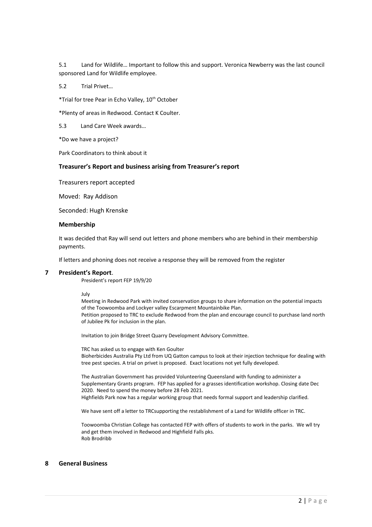5.1 Land for Wildlife… Important to follow this and support. Veronica Newberry was the last council sponsored Land for Wildlife employee.

5.2 Trial Privet…

\*Trial for tree Pear in Echo Valley, 10<sup>th</sup> October

\*Plenty of areas in Redwood. Contact K Coulter.

5.3 Land Care Week awards…

\*Do we have a project?

Park Coordinators to think about it

## **Treasurer's Report and business arising from Treasurer's report**

Treasurers report accepted

Moved: Ray Addison

Seconded: Hugh Krenske

### **Membership**

It was decided that Ray will send out letters and phone members who are behind in their membership payments.

If letters and phoning does not receive a response they will be removed from the register

#### **7 President's Report**.

President's report FEP 19/9/20

July

Meeting in Redwood Park with invited conservation groups to share information on the potential impacts of the Toowoomba and Lockyer valley Escarpment Mountainbike Plan.

Petition proposed to TRC to exclude Redwood from the plan and encourage council to purchase land north of Jubilee Pk for inclusion in the plan.

Invitation to join Bridge Street Quarry Development Advisory Committee.

TRC has asked us to engage with Ken Goulter Bioherbicides Australia Pty Ltd from UQ Gatton campus to look at their injection technique for dealing with tree pest species. A trial on privet is proposed. Exact locations not yet fully developed.

The Australian Government has provided Volunteering Queensland with funding to administer a Supplementary Grants program. FEP has applied for a grasses identification workshop. Closing date Dec 2020. Need to spend the money before 28 Feb 2021.

Highfields Park now has a regular working group that needs formal support and leadership clarified.

We have sent off a letter to TRCsupporting the restablishment of a Land for Wildlife officer in TRC.

Toowoomba Christian College has contacted FEP with offers of students to work in the parks. We wll try and get them involved in Redwood and Highfield Falls pks. Rob Brodribb

## **8 General Business**